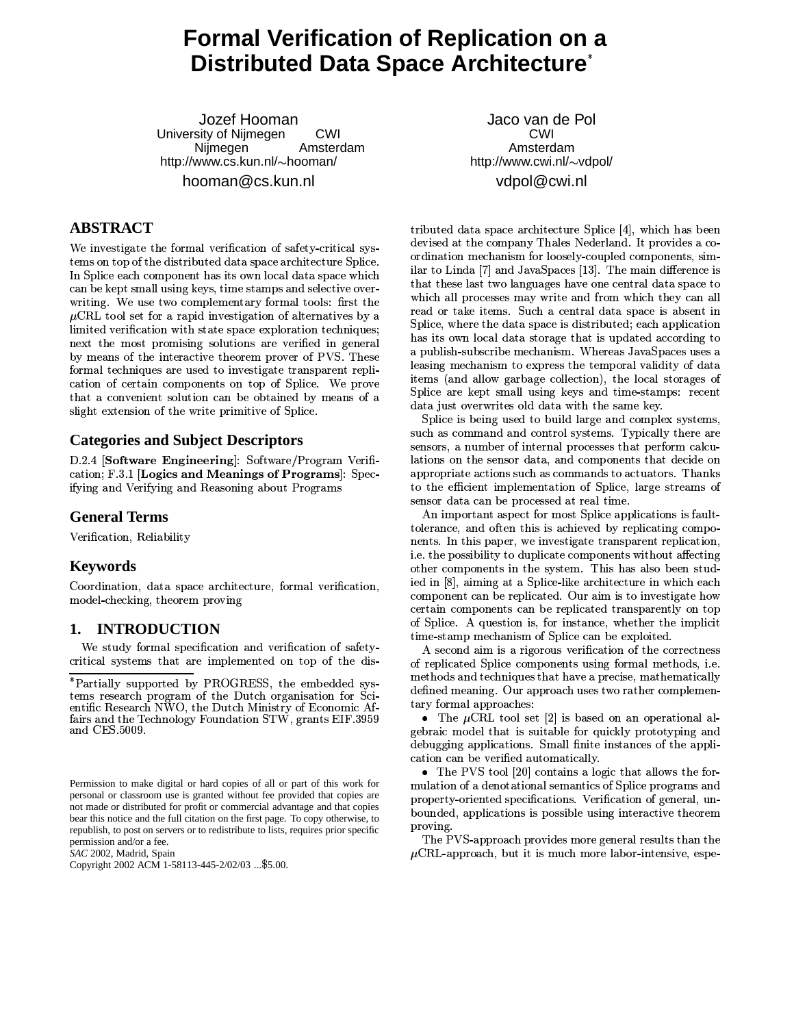# **Formal Verification of Replication on a Distributed Data Space Architecture\***

Jozef Hooman University of Nijmegen CWI Amsterdam Nijmegen http://www.cs.kun.nl/~hooman/ hooman@cs.kun.nl

# **ABSTRACT**

We investigate the formal verification of safety-critical systems on top of the distributed data space architecture Splice. In Splice each component has its own local data space which can be kept small using keys, time stamps and selective overwriting. We use two complementary formal tools: first the  $\mu$ CRL tool set for a rapid investigation of alternatives by a limited verification with state space exploration techniques; next the most promising solutions are verified in general by means of the interactive theorem prover of PVS. These formal techniques are used to investigate transparent replication of certain components on top of Splice. We prove that a convenient solution can be obtained by means of a slight extension of the write primitive of Splice.

# **Categories and Subject Descriptors**

D.2.4 [Software Engineering]: Software/Program Verification; F 3.1 Logics and Meanings of Programs. Spec. ifying and Verifying and Reasoning about Programs

### **General Terms**

Verification, Reliability

# **Keywords**

Coordination, data space architecture, formal verification, model-checking, theorem proving

#### **INTRODUCTION** 1.

We study formal specification and verification of safetycritical systems that are implemented on top of the dis-

SAC 2002, Madrid, Spain

Copyright 2002 ACM 1-58113-445-2/02/03 ... \$5.00.

Jaco van de Pol CWI Amsterdam http://www.cwi.nl/~vdpol/ vdpol@cwi.nl

tributed data space architecture Splice [4], which has been devised at the company Thales Nederland. It provides a coordination mechanism for loosely-coupled components, similar to Linda [7] and JavaSpaces [13]. The main difference is that these last two languages have one central data space to which all processes may write and from which they can all read or take items. Such a central data space is absent in Splice, where the data space is distributed; each application has its own local data storage that is updated according to a publish-subscribe mechanism. Whereas JavaSpaces uses a leasing mechanism to express the temporal validity of data items (and allow garbage collection), the local storages of Splice are kept small using keys and time-stamps: recent data just overwrites old data with the same key.

Splice is being used to build large and complex systems, such as command and control systems. Typically there are sensors, a number of internal processes that perform calculations on the sensor data, and components that decide on appropriate actions such as commands to actuators. Thanks to the efficient implementation of Splice, large streams of sensor data can be processed at real time.

An important aspect for most Splice applications is faulttolerance, and often this is achieved by replicating components. In this paper, we investigate transparent replication, i.e. the possibility to duplicate components without affecting other components in the system. This has also been studied in [8], aiming at a Splice-like architecture in which each component can be replicated. Our aim is to investigate how certain components can be replicated transparently on top of Splice. A question is, for instance, whether the implicit time-stamp mechanism of Splice can be exploited.

A second aim is a rigorous verification of the correctness of replicated Splice components using formal methods, i.e. methods and techniques that have a precise, mathematically defined meaning. Our approach uses two rather complementary formal approaches:

• The  $\mu$ CRL tool set [2] is based on an operational algebraic model that is suitable for quickly prototyping and debugging applications. Small finite instances of the application can be verified automatically.

• The PVS tool [20] contains a logic that allows the formulation of a denotational semantics of Splice programs and property-oriented specifications. Verification of general, unbounded, applications is possible using interactive theorem proving.

The PVS-approach provides more general results than the  $\mu$ CRL-approach, but it is much more labor-intensive, espe-

<sup>\*</sup>Partially supported by PROGRESS, the embedded systems research program of the Dutch organisation for Scientific Research NWO, the Dutch Ministry of Economic Affairs and the Technology Foundation STW, grants EIF.3959 and CES.5009.

Permission to make digital or hard copies of all or part of this work for personal or classroom use is granted without fee provided that copies are not made or distributed for profit or commercial advantage and that copies bear this notice and the full citation on the first page. To copy otherwise, to republish, to post on servers or to redistribute to lists, requires prior specific permission and/or a fee.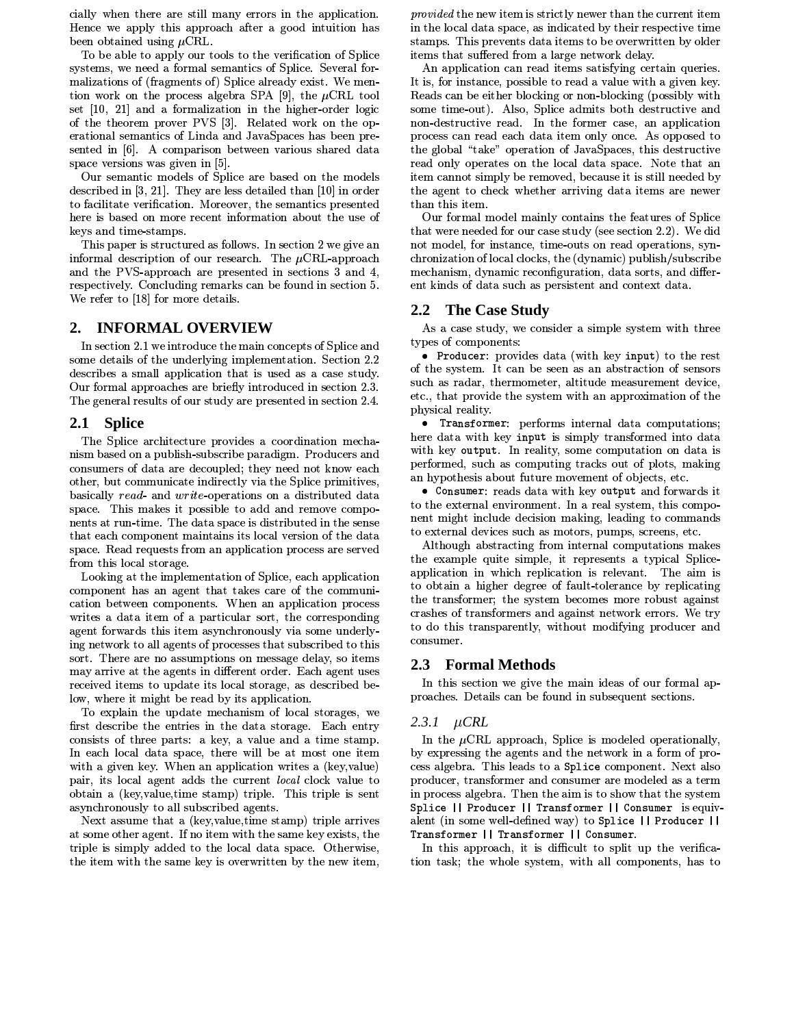cially when there are still many errors in the application. Hence we apply this approach after a good intuition has been obtained using  $\mu$ CRL.

To be able to apply our tools to the verification of Splice systems, we need a formal semantics of Splice. Several formalizations of (fragments of) Splice already exist. We mention work on the process algebra SPA [9], the  $\mu$ CRL tool set [10, 21] and a formalization in the higher-order logic of the theorem prover PVS [3]. Related work on the operational semantics of Linda and JavaSpaces has been presented in [6]. A comparison between various shared data space versions was given in [5].

Our semantic models of Splice are based on the models described in  $[3, 21]$ . They are less detailed than  $[10]$  in order to facilitate verification. Moreover, the semantics presented here is based on more recent information about the use of keys and time-stamps.

This paper is structured as follows. In section 2 we give an informal description of our research. The  $\mu$ CRL-approach and the PVS-approach are presented in sections 3 and 4, respectively. Concluding remarks can be found in section 5. We refer to [18] for more details.

#### **INFORMAL OVERVIEW**  $2.$

In section 2.1 we introduce the main concepts of Splice and some details of the underlying implementation. Section 2.2 describes a small application that is used as a case study. Our formal approaches are briefly introduced in section 2.3. The general results of our study are presented in section 2.4.

#### $2.1$ **Splice**

The Splice architecture provides a coordination mechanism based on a publish-subscribe paradigm. Producers and consumers of data are decoupled; they need not know each other, but communicate indirectly via the Splice primitives, basically read- and write-operations on a distributed data space. This makes it possible to add and remove components at run-time. The data space is distributed in the sense that each component maintains its local version of the data space. Read requests from an application process are served from this local storage.

Looking at the implementation of Splice, each application component has an agent that takes care of the communication between components. When an application process writes a data item of a particular sort, the corresponding agent forwards this item asynchronously via some underlying network to all agents of processes that subscribed to this sort. There are no assumptions on message delay, so items may arrive at the agents in different order. Each agent uses received items to update its local storage, as described below, where it might be read by its application.

To explain the update mechanism of local storages, we first describe the entries in the data storage. Each entry consists of three parts: a key, a value and a time stamp. In each local data space, there will be at most one item with a given key. When an application writes a (key, value) pair, its local agent adds the current *local* clock value to obtain a (key, value, time stamp) triple. This triple is sent asynchronously to all subscribed agents.

Next assume that a (key, value, time stamp) triple arrives at some other agent. If no item with the same key exists, the triple is simply added to the local data space. Otherwise, the item with the same key is overwritten by the new item,

*provided* the new item is strictly newer than the current item in the local data space, as indicated by their respective time stamps. This prevents data items to be overwritten by older items that suffered from a large network delay.

An application can read items satisfying certain queries. It is, for instance, possible to read a value with a given key. Reads can be either blocking or non-blocking (possibly with some time-out). Also, Splice admits both destructive and non-destructive read. In the former case, an application process can read each data item only once. As opposed to the global "take" operation of JavaSpaces, this destructive read only operates on the local data space. Note that an item cannot simply be removed, because it is still needed by the agent to check whether arriving data items are newer than this item.

Our formal model mainly contains the features of Splice that were needed for our case study (see section 2.2). We did not model, for instance, time-outs on read operations, synchronization of local clocks, the (dynamic) publish/subscribe mechanism, dynamic reconfiguration, data sorts, and different kinds of data such as persistent and context data.

### 2.2 The Case Study

As a case study, we consider a simple system with three types of components:

• Producer: provides data (with key input) to the rest of the system. It can be seen as an abstraction of sensors such as radar, thermometer, altitude measurement device, etc., that provide the system with an approximation of the physical reality.

• Transformer: performs internal data computations; here data with key input is simply transformed into data with key output. In reality, some computation on data is performed, such as computing tracks out of plots, making an hypothesis about future movement of objects, etc.

• Consumer: reads data with key output and forwards it to the external environment. In a real system, this component might include decision making, leading to commands to external devices such as motors, pumps, screens, etc.

Although abstracting from internal computations makes the example quite simple, it represents a typical Spliceapplication in which replication is relevant. The aim is to obtain a higher degree of fault-tolerance by replicating the transformer; the system becomes more robust against crashes of transformers and against network errors. We try to do this transparently, without modifying producer and consumer.

### 2.3 Formal Methods

In this section we give the main ideas of our formal approaches. Details can be found in subsequent sections.

### $2.3.1 \quad \mu$ CRL

In the  $\mu$ CRL approach, Splice is modeled operationally, by expressing the agents and the network in a form of process algebra. This leads to a Splice component. Next also producer, transformer and consumer are modeled as a term in process algebra. Then the aim is to show that the system Splice || Producer || Transformer || Consumer is equivalent (in some well-defined way) to Splice | | Producer | | Transformer || Transformer || Consumer.

In this approach, it is difficult to split up the verification task; the whole system, with all components, has to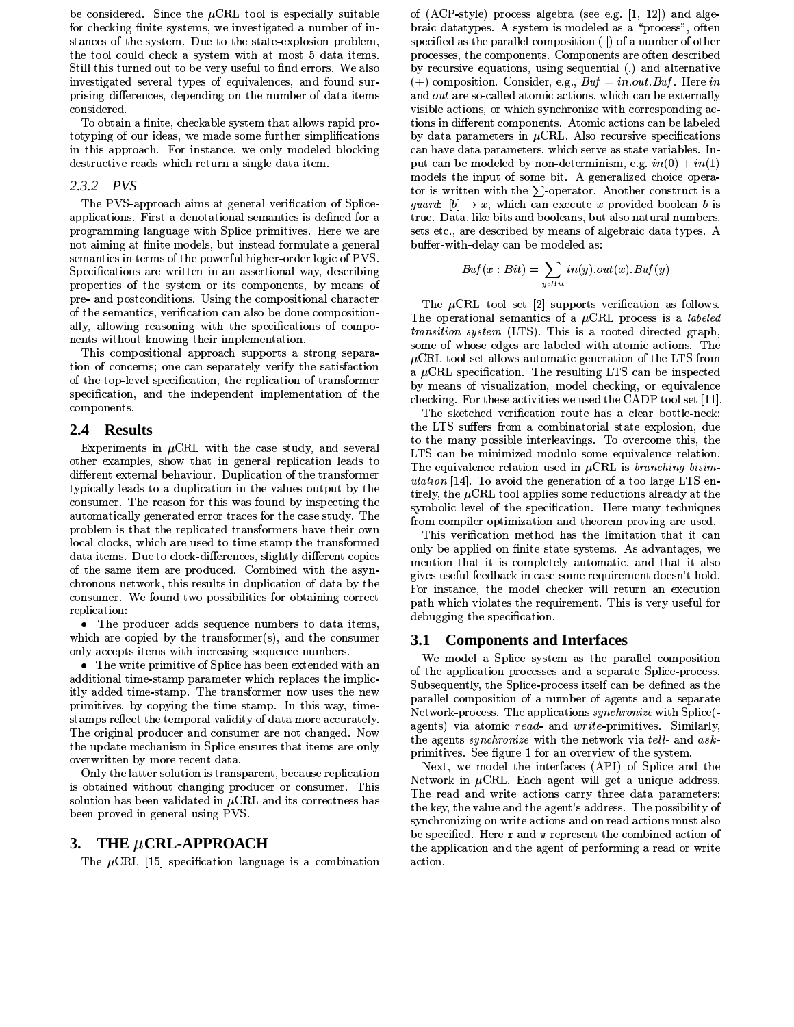be considered. Since the  $\mu$ CRL tool is especially suitable for checking finite systems, we investigated a number of instances of the system. Due to the state-explosion problem. the tool could check a system with at most 5 data items. Still this turned out to be very useful to find errors. We also investigated several types of equivalences, and found surprising differences, depending on the number of data items considered.

To obtain a finite, checkable system that allows rapid prototyping of our ideas, we made some further simplifications in this approach. For instance, we only modeled blocking destructive reads which return a single data item.

### 2.3.2 PVS

The PVS-approach aims at general verification of Spliceapplications. First a denotational semantics is defined for a programming language with Splice primitives. Here we are not aiming at finite models, but instead formulate a general semantics in terms of the powerful higher-order logic of PVS. Specifications are written in an assertional way, describing properties of the system or its components, by means of pre- and postconditions. Using the compositional character of the semantics, verification can also be done compositionally, allowing reasoning with the specifications of components without knowing their implementation.

This compositional approach supports a strong separation of concerns; one can separately verify the satisfaction of the top-level specification, the replication of transformer specification, and the independent implementation of the components.

#### $2.4^{\circ}$ **Results**

Experiments in  $\mu$ CRL with the case study, and several other examples, show that in general replication leads to different external behaviour. Duplication of the transformer typically leads to a duplication in the values output by the consumer. The reason for this was found by inspecting the automatically generated error traces for the case study. The problem is that the replicated transformers have their own local clocks, which are used to time stamp the transformed data items. Due to clock-differences, slightly different copies of the same item are produced. Combined with the asynchronous network, this results in duplication of data by the consumer. We found two possibilities for obtaining correct replication:

• The producer adds sequence numbers to data items, which are copied by the transformer $(s)$ , and the consumer only accepts items with increasing sequence numbers.

• The write primitive of Splice has been extended with an additional time-stamp parameter which replaces the implicitly added time-stamp. The transformer now uses the new primitives, by copying the time stamp. In this way, timestamps reflect the temporal validity of data more accurately. The original producer and consumer are not changed. Now the update mechanism in Splice ensures that items are only overwritten by more recent data.

Only the latter solution is transparent, because replication is obtained without changing producer or consumer. This solution has been validated in  $\mu$ CRL and its correctness has been proved in general using PVS.

### 3. THE  $\mu$ CRL-APPROACH

The  $\mu$ CRL [15] specification language is a combination

of  $(ACP-style)$  process algebra (see e.g.  $[1, 12]$ ) and algebraic datatypes. A system is modeled as a "process", often specified as the parallel composition (||) of a number of other processes, the components. Components are often described by recursive equations, using sequential (.) and alternative (+) composition. Consider, e.g.,  $Buf = in.out Buf$ . Here in and *out* are so-called atomic actions, which can be externally visible actions, or which synchronize with corresponding actions in different components. Atomic actions can be labeled by data parameters in  $\mu$ CRL. Also recursive specifications can have data parameters, which serve as state variables. Input can be modeled by non-determinism, e.g.  $in(0) + in(1)$ models the input of some bit. A generalized choice operator is written with the  $\Sigma$ -operator. Another construct is a *guard*:  $[b] \rightarrow x$ , which can execute x provided boolean b is true. Data, like bits and booleans, but also natural numbers, sets etc., are described by means of algebraic data types. A buffer-with-delay can be modeled as:

$$
Buf(x: Bit) = \sum_{y: Bit} in(y).out(x).Buf(y)
$$

The  $\mu$ CRL tool set [2] supports verification as follows. The operational semantics of a  $\mu$ CRL process is a *labeled transition system* (LTS). This is a rooted directed graph, some of whose edges are labeled with atomic actions. The  $\mu$ CRL tool set allows automatic generation of the LTS from a  $\mu$ CRL specification. The resulting LTS can be inspected by means of visualization, model checking, or equivalence checking. For these activities we used the CADP tool set [11]

The sketched verification route has a clear bottle-neck: the LTS suffers from a combinatorial state explosion, due to the many possible interleavings. To overcome this, the LTS can be minimized modulo some equivalence relation. The equivalence relation used in  $\mu$ CRL is *branching bisimulation* [14]. To avoid the generation of a too large LTS entirely, the  $\mu$ CRL tool applies some reductions already at the symbolic level of the specification. Here many techniques from compiler optimization and theorem proving are used.

This verification method has the limitation that it can only be applied on finite state systems. As advantages, we mention that it is completely automatic, and that it also gives useful feedback in case some requirement doesn't hold. For instance, the model checker will return an execution path which violates the requirement. This is very useful for debugging the specification.

#### **Components and Interfaces 3.1**

We model a Splice system as the parallel composition of the application processes and a separate Splice-process. Subsequently, the Splice-process itself can be defined as the parallel composition of a number of agents and a separate Network-process. The applications *synchronize* with Splice<sup>(-1</sup>) agents) via atomic read- and write-primitives. Similarly, the agents *synchronize* with the network via tell- and askprimitives. See figure 1 for an overview of the system.

Next, we model the interfaces (API) of Splice and the Network in  $\mu$ CRL. Each agent will get a unique address. The read and write actions carry three data parameters: the key, the value and the agent's address. The possibility of synchronizing on write actions and on read actions must also be specified. Here r and w represent the combined action of the application and the agent of performing a read or write action.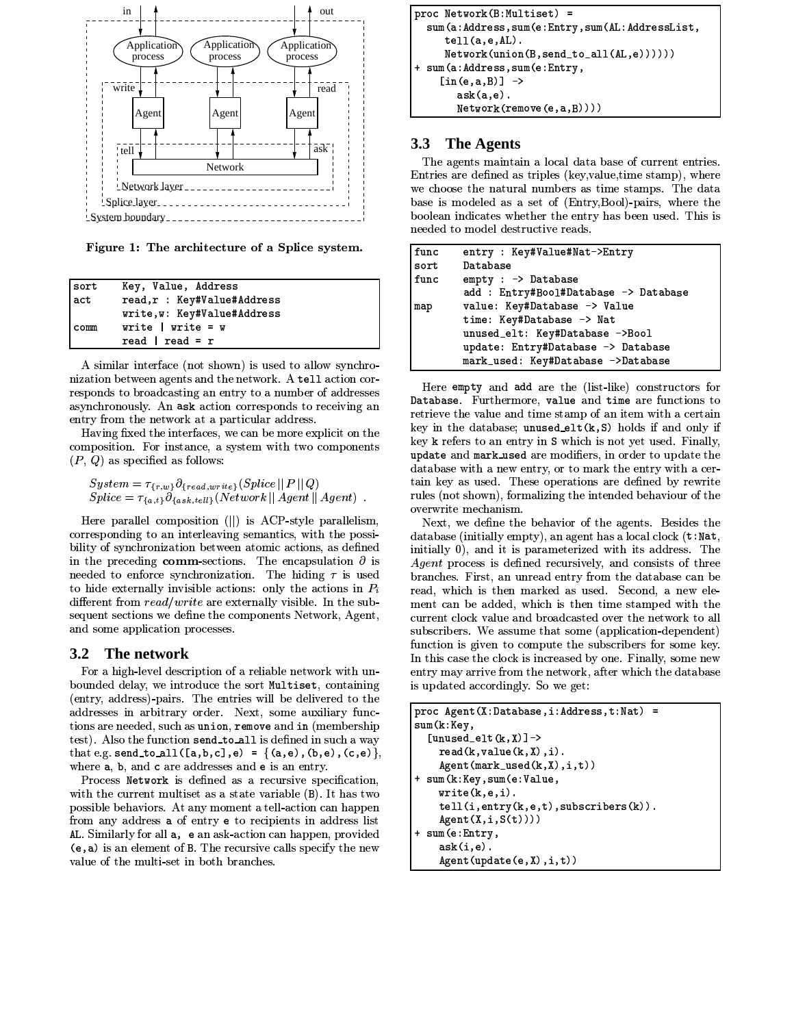

Figure 1: The architecture of a Splice system.

| sort | Key, Value, Address         |
|------|-----------------------------|
| act  | read,r : Key#Value#Address  |
|      | write, w: Key#Value#Address |
| comm | write $ $ write = w         |
|      | read   read = $r$           |

A similar interface (not shown) is used to allow synchronization between agents and the network. A tell action corresponds to broadcasting an entry to a number of addresses asynchronously. An ask action corresponds to receiving an entry from the network at a particular address.

Having fixed the interfaces, we can be more explicit on the composition. For instance, a system with two components  $(P, Q)$  as specified as follows:

```
\begin{array}{l} System = \tau_{\{\mathnormal{r},w\}} \partial_{\{\mathnormal{read}, write\}}(Spline \parallel P \parallel Q) \\ Splice = \tau_{\{a,t\}} \partial_{\{ask, tell\}}(Network \parallel Agent \parallel Agent) \enspace . \end{array}
```
Here parallel composition (||) is ACP-style parallelism, corresponding to an interleaving semantics, with the possibility of synchronization between atomic actions, as defined in the preceding comm-sections. The encapsulation  $\partial$  is needed to enforce synchronization. The hiding  $\tau$  is used to hide externally invisible actions: only the actions in  $P_i$ different from  $read/write$  are externally visible. In the subsequent sections we define the components Network, Agent, and some application processes.

#### $3.2$ The network

For a high-level description of a reliable network with unbounded delay, we introduce the sort Multiset, containing (entry, address)-pairs. The entries will be delivered to the addresses in arbitrary order. Next, some auxiliary functions are needed, such as union, remove and in (membership test). Also the function send\_to\_all is defined in such a way that e.g. send\_to\_all([a,b,c],e) = {(a,e),(b,e),(c,e)}, where a, b, and c are addresses and e is an entry.

Process Network is defined as a recursive specification. with the current multiset as a state variable (B). It has two possible behaviors. At any moment a tell-action can happen from any address a of entry e to recipients in address list AL. Similarly for all a, e an ask-action can happen, provided (e, a) is an element of B. The recursive calls specify the new value of the multi-set in both branches.

```
proc Network(B:Multiset) =
  sum(a:Address, sum(e:Entry, sum(AL:AddressList,
     tel1(a, e, AL)Network(union(B, send_to_all(AL,e))))))sum(a:Address, sum(e:Entry,
    \lceil \text{in}(e,a,B) \rceil \rightarrowask(a,e)
        Network(remove(e, a, B))))
```
#### $3.3$ **The Agents**

The agents maintain a local data base of current entries. Entries are defined as triples (key, value, time stamp), where we choose the natural numbers as time stamps. The data base is modeled as a set of (Entry, Bool)-pairs, where the boolean indicates whether the entry has been used. This is needed to model destructive reads.

| func | entry : Key#Value#Nat->Entry          |  |  |  |  |
|------|---------------------------------------|--|--|--|--|
| sort | Database                              |  |  |  |  |
| func | $empty: \rightarrow$ Database         |  |  |  |  |
|      | add : Entry#Bool#Database -> Database |  |  |  |  |
| map  | value: Key#Database -> Value          |  |  |  |  |
|      | time: Key#Database -> Nat             |  |  |  |  |
|      | unused_elt: Key#Database ->Bool       |  |  |  |  |
|      | update: Entry#Database -> Database    |  |  |  |  |
|      | mark_used: Key#Database ->Database    |  |  |  |  |

Here empty and add are the (list-like) constructors for Database. Furthermore, value and time are functions to retrieve the value and time stamp of an item with a certain key in the database; unused\_elt(k,S) holds if and only if key k refers to an entry in S which is not yet used. Finally, update and mark used are modifiers, in order to update the database with a new entry, or to mark the entry with a certain key as used. These operations are defined by rewrite rules (not shown), formalizing the intended behaviour of the overwrite mechanism.

Next, we define the behavior of the agents. Besides the database (initially empty), an agent has a local clock  $(t : Nat)$ , initially 0), and it is parameterized with its address. The *Agent* process is defined recursively, and consists of three branches. First, an unread entry from the database can be read, which is then marked as used. Second, a new element can be added, which is then time stamped with the current clock value and broadcasted over the network to all subscribers. We assume that some (application-dependent) function is given to compute the subscribers for some key. In this case the clock is increased by one. Finally, some new entry may arrive from the network, after which the database is updated accordingly. So we get:

```
proc Agent (X:Database, i:Address, t:Nat) =
sum(k:Key,
  [unused_elt(k, X)]->
    read(k, value(k, X), i).
    Agent(maxk_user(k, X), i, t))+ sum(k:Key,sum(e:Value,
    write(k, e, i).
    tell(i, entry(k, e, t), subscripts(k)).Agent(X, i, S(t)))+ sum(e:Entry,
    ask(i, e).
    Agent(update(e, X), i, t))
```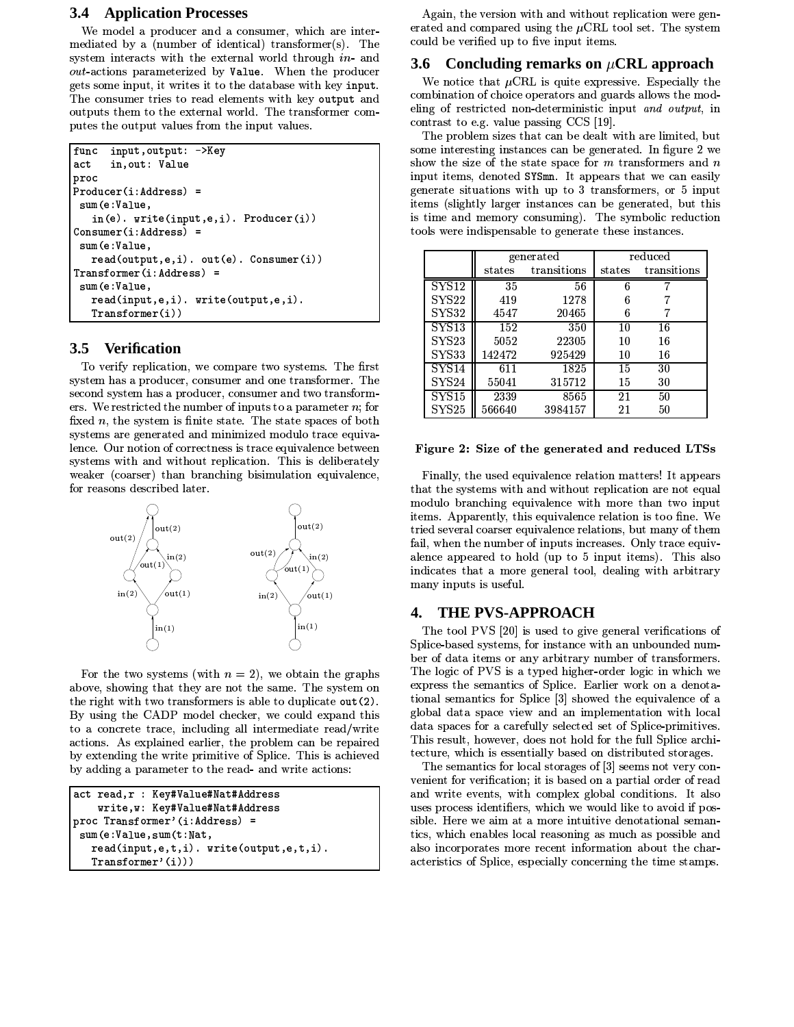### **3.4 Application Processes**

We model a producer and a consumer, which are intermediated by a (number of identical) transformer(s). The system interacts with the external world through in- and out-actions parameterized by Value. When the producer gets some input, it writes it to the database with key input. The consumer tries to read elements with key output and outputs them to the external world. The transformer computes the output values from the input values.

```
input, output: ->Key
func
actin, out: Value
proc
Product(i:Address) =sum(e:Value,
   in(e). write(input, e, i). Producer(i))
Consumer(i:Address) =sum(e:Value,
   read(output, e, i). out(e). Consumer(i))
Transformer(i:Address) =
 sum(e:Value,
   read(input,e,i). write(output,e,i).
   Transformer(i))
```
#### $3.5$ **Verification**

To verify replication, we compare two systems. The first system has a producer, consumer and one transformer. The second system has a producer, consumer and two transformers. We restricted the number of inputs to a parameter  $n$ ; for fixed  $n$ , the system is finite state. The state spaces of both systems are generated and minimized modulo trace equivalence. Our notion of correctness is trace equivalence between systems with and without replication. This is deliberately weaker (coarser) than branching bisimulation equivalence, for reasons described later.



For the two systems (with  $n = 2$ ), we obtain the graphs above, showing that they are not the same. The system on the right with two transformers is able to duplicate out (2). By using the CADP model checker, we could expand this to a concrete trace, including all intermediate read/write actions. As explained earlier, the problem can be repaired by extending the write primitive of Splice. This is achieved by adding a parameter to the read- and write actions:

```
act read, r : Key#Value#Nat#Address
    write, w: Key#Value#Nat#Address
proc Transformer'(i:Address) =
 sum(e:Value, sum(t:Nat,read(input, e, t, i). write(output, e, t, i).
   Transformer'(i)))
```
Again, the version with and without replication were generated and compared using the  $\mu$ CRL tool set. The system could be verified up to five input items.

# 3.6 Concluding remarks on  $\mu$ CRL approach

We notice that  $\mu$ CRL is quite expressive. Especially the combination of choice operators and guards allows the modeling of restricted non-deterministic input and output, in contrast to e.g. value passing CCS [19].

The problem sizes that can be dealt with are limited, but some interesting instances can be generated. In figure 2 we show the size of the state space for  $m$  transformers and  $n$ input items, denoted SYSmn. It appears that we can easily generate situations with up to 3 transformers, or 5 input items (slightly larger instances can be generated, but this is time and memory consuming). The symbolic reduction tools were indispensable to generate these instances.

|                   |                 | generated   | reduced |             |  |
|-------------------|-----------------|-------------|---------|-------------|--|
|                   | $_{\rm states}$ | transitions | states  | transitions |  |
| ${\rm SYS12}$     | $\overline{35}$ | 56          | 6       |             |  |
| ${\rm SYS}22$     | 419             | 1278        | 6       |             |  |
| <b>SYS32</b>      | 4547            | 20465       | 6       |             |  |
| <b>SYS13</b>      | 152             | 350         | 10      | 16          |  |
| <b>SYS23</b>      | 5052            | 22305       | 10      | 16          |  |
| <b>SYS33</b>      | 142472          | 925429      | 10      | 16          |  |
| <b>SYS14</b>      | 611             | 1825        | 15      | 30          |  |
| SYS24             | 55041           | 315712      | 15      | 30          |  |
| SYS <sub>15</sub> | 2339            | 8565        | 21      | 50          |  |
| SYS25             | 566640          | 3984157     | 21      | 50          |  |

#### Figure 2: Size of the generated and reduced LTSs

Finally, the used equivalence relation matters! It appears that the systems with and without replication are not equal modulo branching equivalence with more than two input items. Apparently, this equivalence relation is too fine. We tried several coarser equivalence relations, but many of them fail, when the number of inputs increases. Only trace equivalence appeared to hold (up to 5 input items). This also indicates that a more general tool, dealing with arbitrary many inputs is useful.

#### $\boldsymbol{4}$ . **THE PVS-APPROACH**

The tool PVS [20] is used to give general verifications of Splice-based systems, for instance with an unbounded number of data items or any arbitrary number of transformers. The logic of PVS is a typed higher-order logic in which we express the semantics of Splice. Earlier work on a denotational semantics for Splice [3] showed the equivalence of a global data space view and an implementation with local data spaces for a carefully selected set of Splice-primitives. This result, however, does not hold for the full Splice architecture, which is essentially based on distributed storages.

The semantics for local storages of [3] seems not very convenient for verification; it is based on a partial order of read and write events, with complex global conditions. It also uses process identifiers, which we would like to avoid if possible. Here we aim at a more intuitive denotational semantics, which enables local reasoning as much as possible and also incorporates more recent information about the characteristics of Splice, especially concerning the time stamps.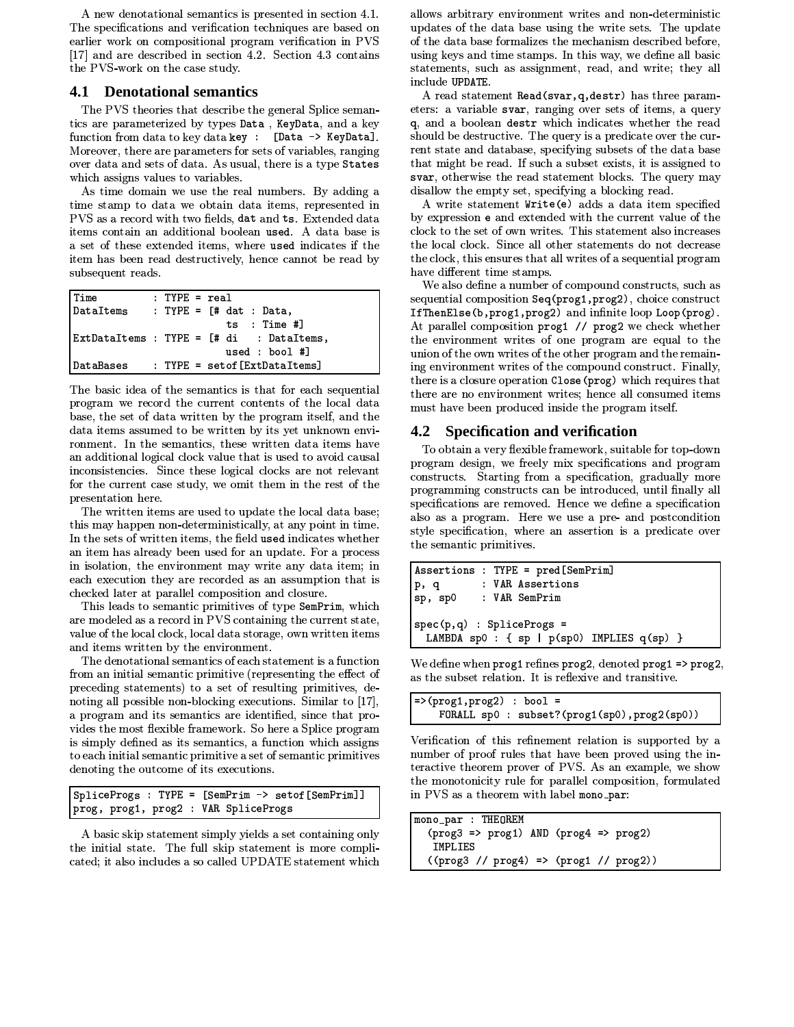A new denotational semantics is presented in section 4.1. The specifications and verification techniques are based on earlier work on compositional program verification in PVS [17] and are described in section 4.2. Section 4.3 contains the PVS-work on the case study.

# **4.1 Denotational semantics**

The PVS theories that describe the general Splice semantics are parameterized by types Data, KeyData, and a key function from data to key data key : [Data -> KeyData]. Moreover, there are parameters for sets of variables, ranging over data and sets of data. As usual, there is a type States which assigns values to variables.

As time domain we use the real numbers. By adding a time stamp to data we obtain data items, represented in PVS as a record with two fields, dat and ts. Extended data items contain an additional boolean used. A data base is a set of these extended items, where used indicates if the item has been read destructively, hence cannot be read by subsequent reads.

| Time | $: IYPE = real$                           |
|------|-------------------------------------------|
|      | $\vert$ DataItems : TYPE = [# dat : Data, |
|      | ts : Time #1                              |
|      | ExtDataItems : TYPE = [# di : DataItems,  |
|      | used : $bool$ #]                          |
|      | DataBases : TYPE = setof[ExtDataItems]    |

The basic idea of the semantics is that for each sequential program we record the current contents of the local data base, the set of data written by the program itself, and the data items assumed to be written by its yet unknown environment. In the semantics, these written data items have an additional logical clock value that is used to avoid causal inconsistencies. Since these logical clocks are not relevant for the current case study, we omit them in the rest of the presentation here.

The written items are used to update the local data base; this may happen non-deterministically, at any point in time. In the sets of written items, the field used indicates whether an item has already been used for an update. For a process in isolation, the environment may write any data item; in each execution they are recorded as an assumption that is checked later at parallel composition and closure.

This leads to semantic primitives of type SemPrim, which are modeled as a record in PVS containing the current state, value of the local clock, local data storage, own written items and items written by the environment.

The denotational semantics of each statement is a function from an initial semantic primitive (representing the effect of preceding statements) to a set of resulting primitives, denoting all possible non-blocking executions. Similar to [17], a program and its semantics are identified, since that provides the most flexible framework. So here a Splice program is simply defined as its semantics, a function which assigns to each initial semantic primitive a set of semantic primitives denoting the outcome of its executions.

```
SpliceProgs : TYPE = [SemPrim -> setof[SemPrim]]
prog, prog1, prog2 : VAR SpliceProgs
```
A basic skip statement simply yields a set containing only the initial state. The full skip statement is more complicated; it also includes a so called UPDATE statement which

allows arbitrary environment writes and non-deterministic updates of the data base using the write sets. The update of the data base formalizes the mechanism described before. using keys and time stamps. In this way, we define all basic statements, such as assignment, read, and write; they all include UPDATE.

A read statement Read(svar, q, destr) has three parameters: a variable svar, ranging over sets of items, a query q, and a boolean destr which indicates whether the read should be destructive. The query is a predicate over the current state and database, specifying subsets of the data base that might be read. If such a subset exists, it is assigned to svar, otherwise the read statement blocks. The query may disallow the empty set, specifying a blocking read.

A write statement Write(e) adds a data item specified by expression e and extended with the current value of the clock to the set of own writes. This statement also increases the local clock. Since all other statements do not decrease the clock, this ensures that all writes of a sequential program have different time stamps.

We also define a number of compound constructs, such as sequential composition Seq (prog1, prog2), choice construct IfThenElse(b, prog1, prog2) and infinite loop Loop(prog). At parallel composition prog1 // prog2 we check whether the environment writes of one program are equal to the union of the own writes of the other program and the remaining environment writes of the compound construct. Finally, there is a closure operation Close (prog) which requires that there are no environment writes; hence all consumed items must have been produced inside the program itself.

# 4.2 Specification and verification

To obtain a very flexible framework, suitable for top-down program design, we freely mix specifications and program constructs. Starting from a specification, gradually more programming constructs can be introduced, until finally all specifications are removed. Hence we define a specification also as a program. Here we use a pre- and postcondition style specification, where an assertion is a predicate over the semantic primitives.

```
Assertions : TYPE = pred[SemPrim]
            : VAR Assertions
p, q: VAR SemPrim
sp, sp0
spec(p,q) : SpliceProgs =
  LAMBDA sp0 : \{ sp | p(sp0) \text{ IMPLIES } q(sp) \}
```
We define when  $\text{prog1}$  refines  $\text{prog2}$ , denoted  $\text{prog1} \Rightarrow \text{prog2}$ , as the subset relation. It is reflexive and transitive.

```
=>(prog1,prog2) : bool =
   FORALL sp0 : subset?(prog1(sp0),prog2(sp0))
```
Verification of this refinement relation is supported by a number of proof rules that have been proved using the interactive theorem prover of PVS. As an example, we show the monotonicity rule for parallel composition, formulated in PVS as a theorem with label mono\_par:

| mono_par : THEOREM                                          |  |
|-------------------------------------------------------------|--|
| $(prog3 \Rightarrow prog1)$ AND $(prog4 \Rightarrow prog2)$ |  |
| IMPLIES                                                     |  |
| $((prog3 // prog4) =&>(prog1 // prog2))$                    |  |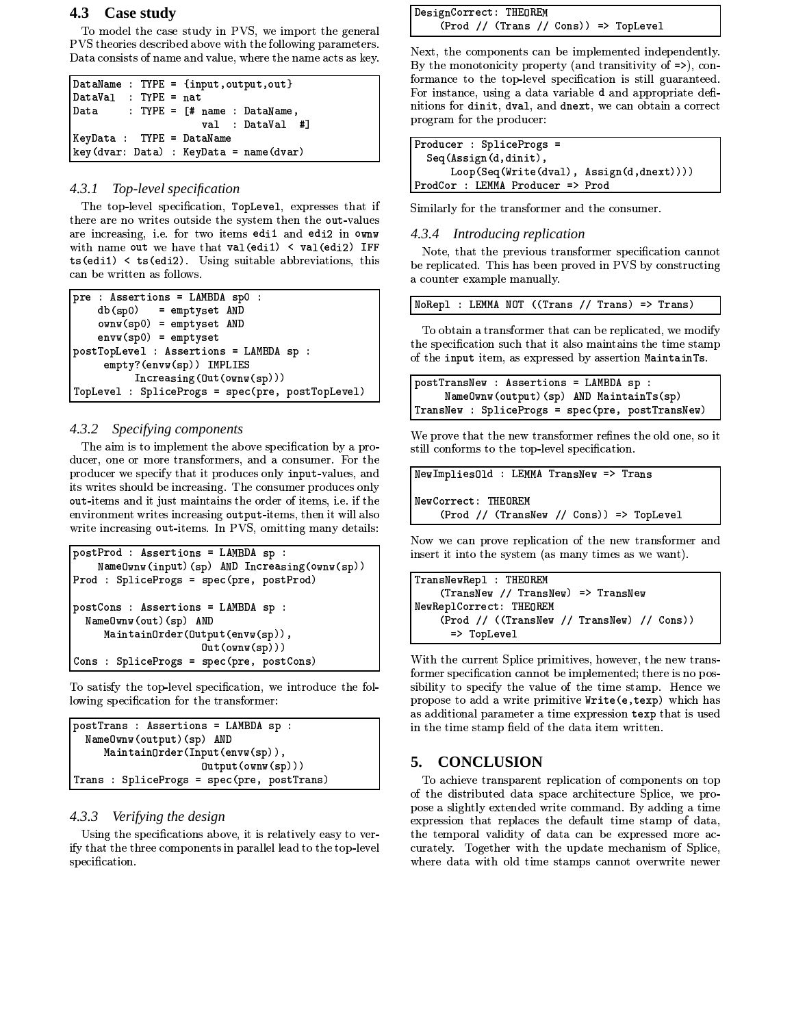# 4.3 Case study

To model the case study in PVS, we import the general PVS theories described above with the following parameters. Data consists of name and value, where the name acts as key.

```
DataName : TYPE = {input, output, out}
DataVal : TYPE = nat
        : TYPE = [# name : DataName,Data
                    val : DataVal #]
KeyData : TYPE = DataNamekey(dvar: Data): KeyData = name(dvar)
```
### 4.3.1 Top-level specification

The top-level specification, TopLevel, expresses that if there are no writes outside the system then the out-values are increasing, i.e. for two items edi1 and edi2 in ownw with name out we have that val (edi1) < val (edi2) IFF  $ts(edi1)$  <  $ts(edi2)$ . Using suitable abbreviations, this can be written as follows.

pre : Assertions = LAMBDA sp0 :  $db(sp0)$ = emptyset AND ownw(sp0) = emptyset AND  $envw(sp0) = emptyset$ postTopLevel : Assertions = LAMBDA sp : empty?(envw(sp)) IMPLIES  $Increasing(0ut(own(sp)))$ TopLevel : SpliceProgs = spec(pre, postTopLevel)

### 4.3.2 Specifying components

The aim is to implement the above specification by a producer, one or more transformers, and a consumer. For the producer we specify that it produces only input-values, and its writes should be increasing. The consumer produces only out-items and it just maintains the order of items, i.e. if the environment writes increasing output-items, then it will also write increasing out-items. In PVS, omitting many details:

```
postProd : Assertions = LAMBDA sp :
    NameOwnw(input)(sp) AND Increasing(ownw(sp))
Prod : SpliceProgs = spec(pre, postProd)
postCons : Assertions = LAMBDA sp :
  Name0wnw(out)(sp) AND
     MaintainOrder(Output(envw(sp)),
                      Out(\text{own}(sp)))Cons : SpliceProgs = spec(pre, postCons)
```
To satisfy the top-level specification, we introduce the following specification for the transformer:

```
postTrans : Assertions = LAMBDA sp :
  Name0wnw(output)(sp) AND
     MaintrainOrder(Input(env(sp)),[Output(own(sp))]Trans : SpliceProgs = spec(pre, postTrans)
```
### 4.3.3 Verifying the design

Using the specifications above, it is relatively easy to verify that the three components in parallel lead to the top-level specification.

```
DesignCorrect: THEOREM
    (Prod // (Trans // Cons)) => TopLevel
```
Next, the components can be implemented independently. By the monotonicity property (and transitivity of  $\Rightarrow$ ), conformance to the top-level specification is still guaranteed. For instance, using a data variable d and appropriate definitions for dinit, dval, and dnext, we can obtain a correct program for the producer:

| Producer : SpliceProgs =                 |  |
|------------------------------------------|--|
| Seq(Assign(d,dinit),                     |  |
| Loop(Seq(Write(dval), Assign(d,dnext)))) |  |
| ProdCor : LEMMA Producer => Prod         |  |

Similarly for the transformer and the consumer.

#### 4.3.4 Introducing replication

Note, that the previous transformer specification cannot be replicated. This has been proved in PVS by constructing a counter example manually.

|  |  |  |  | NoRepl : LEMMA NOT ((Trans // Trans) => Trans) |  |  |  |  |  |
|--|--|--|--|------------------------------------------------|--|--|--|--|--|
|--|--|--|--|------------------------------------------------|--|--|--|--|--|

To obtain a transformer that can be replicated, we modify the specification such that it also maintains the time stamp of the input item, as expressed by assertion MaintainTs.

```
postTransNew : Assertions = LAMBDA sp :
     NameOwnw(output)(sp) AND MaintainTs(sp)
TransNew : SpliceProgs = spec(pre, postTransNew)
```
We prove that the new transformer refines the old one, so it still conforms to the top-level specification.

```
NewImplies01d : LEMMA TransNew => Trans
NewCorrect: THEOREM
    (Prod // (TransNew // Cons)) => TopLevel
```
Now we can prove replication of the new transformer and insert it into the system (as many times as we want).

```
TransNewRepl : THEOREM
    (TransNew // TransNew) => TransNew
NewReplCorrect: THEOREM
    (Prod // ((TransNew // TransNew) // Cons))
      => TopLevel
```
With the current Splice primitives, however, the new transformer specification cannot be implemented; there is no possibility to specify the value of the time stamp. Hence we propose to add a write primitive Write (e, texp) which has as additional parameter a time expression texp that is used in the time stamp field of the data item written.

#### 5. **CONCLUSION**

To achieve transparent replication of components on top of the distributed data space architecture Splice, we propose a slightly extended write command. By adding a time expression that replaces the default time stamp of data, the temporal validity of data can be expressed more accurately. Together with the update mechanism of Splice, where data with old time stamps cannot overwrite newer